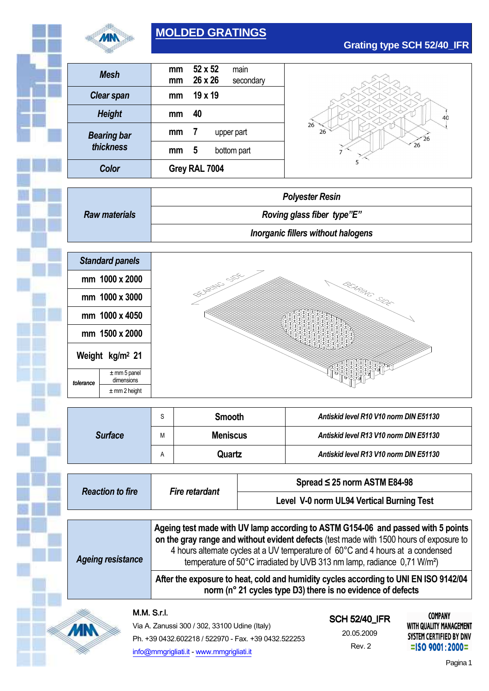

### **MOLDED GRATINGS**

| Color              | Grey RAL 7004 |         |             |  |
|--------------------|---------------|---------|-------------|--|
| thickness          | mm            | 5       | bottom part |  |
| <b>Bearing bar</b> | mm            | 7       | upper part  |  |
| <b>Height</b>      | mm            | 40      |             |  |
| <b>Clear span</b>  | mm            | 19 x 19 |             |  |
| Mesh               | mm            | 26 x 26 | secondary   |  |
|                    | mm            | 52 x 52 | main        |  |
|                    |               |         |             |  |

# $\overline{40}$  $26$  $\overline{26}$  $\widetilde{26}$  $\overline{26}$

**Grating type SCH 52/40\_IFR**

|                      | <b>Polyester Resin</b>             |  |  |
|----------------------|------------------------------------|--|--|
| <b>Raw materials</b> | Roving glass fiber type"E"         |  |  |
|                      | Inorganic fillers without halogens |  |  |



|                | C | <b>Smooth</b>   | Antiskid level R10 V10 norm DIN E51130 |  |
|----------------|---|-----------------|----------------------------------------|--|
| <b>Surface</b> | М | <b>Meniscus</b> | Antiskid level R13 V10 norm DIN E51130 |  |
|                | А | Quartz          | Antiskid level R13 V10 norm DIN E51130 |  |

| <b>Reaction to fire</b>  | <b>Fire retardant</b>                                                                                                                                                                                                                                                                                                                                 | Spread $\leq$ 25 norm ASTM E84-98         |  |  |
|--------------------------|-------------------------------------------------------------------------------------------------------------------------------------------------------------------------------------------------------------------------------------------------------------------------------------------------------------------------------------------------------|-------------------------------------------|--|--|
|                          |                                                                                                                                                                                                                                                                                                                                                       | Level V-0 norm UL94 Vertical Burning Test |  |  |
|                          |                                                                                                                                                                                                                                                                                                                                                       |                                           |  |  |
| <b>Ageing resistance</b> | Ageing test made with UV lamp according to ASTM G154-06 and passed with 5 points<br>on the gray range and without evident defects (test made with 1500 hours of exposure to<br>4 hours alternate cycles at a UV temperature of 60°C and 4 hours at a condensed<br>temperature of 50°C irradiated by UVB 313 nm lamp, radiance 0,71 W/m <sup>2</sup> ) |                                           |  |  |
|                          | After the exposure to heat, cold and humidity cycles according to UNI EN ISO 9142/04<br>norm (n° 21 cycles type D3) there is no evidence of defects                                                                                                                                                                                                   |                                           |  |  |

#### M.M.S.r.l.

**MN** 

| Via A. Zanussi 300 / 302, 33100 Udine (Italy)       |
|-----------------------------------------------------|
| Ph. +39 0432.602218 / 522970 - Fax. +39 0432.522253 |
| info@mmgrigliati.it - www.mmgrigliati.it            |

## **SCH 52/40 IFR**

20.05.2009 Rev. 2

**COMPANY** WITH QUALITY MANAGEMENT SYSTEM CERTIFIED BY DNV  $=$ ISO 9001:2000=